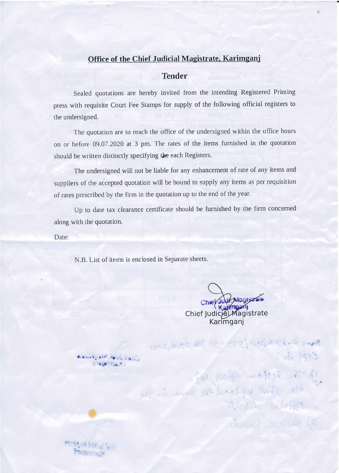## Office of the Chief Judicial Magistrate, Karimganj

## **Tender**

Sealed quotations are hereby invited from the intending Registered Printing press with requisite Court Fee Stamps for supply of the following official registers to the undersigned.

The quotation are to reach the office of the undersigned within the office hours on or before 09.07.2020 at 3 pm. The rates of the items furnished in the quotation should be written distinctly specifying the each Registers.

The undersigned will not be liable for any enhancement of rate of any items and suppliers of the accepted quotation will be bound to supply any items as per requisition of rates prescribed by the firm in the quotation up to the end of the year.

Up to date tax clearance certificate should be furnished by the firm concerned along with the quotation.

Date:

N.B. List of items is enclosed in Separate sheets.

Chief Judit Magistrale Chief Judicial Magistrate Karimgani

Mercinal professor 30 20 20 20 20 10 20 20

de 1900

While establish

dimited with the observation GONTING P 

**Ternett**